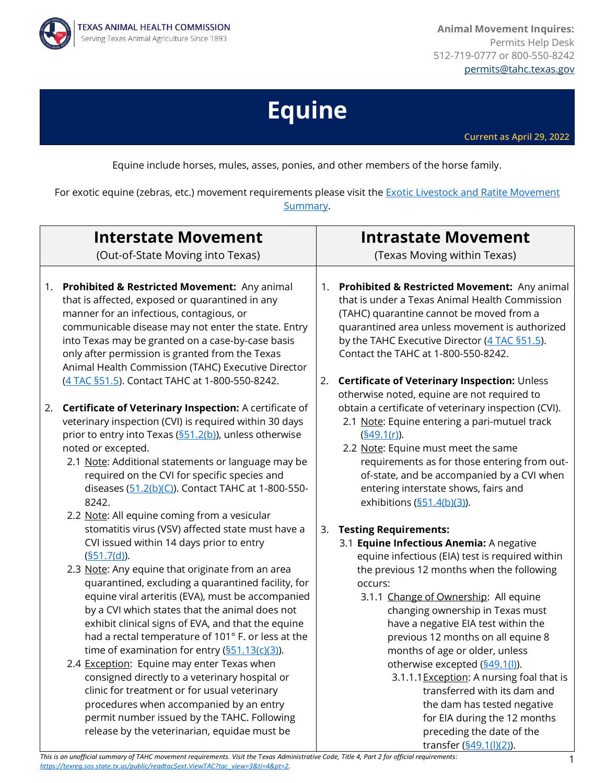**Animal Movement Inquires:** Permits Help Desk 512-719-0777 or 800-550-8242 [permits@tahc.texas.gov](mailto:permits@tahc.texas.gov)



# **Equine**

**Current as April 29, 2022**

Equine include horses, mules, asses, ponies, and other members of the horse family.

For exotic equine (zebras, etc.) movement requirements please visit the **Exotic Livestock and Ratite Movement** [Summary.](https://www.tahc.texas.gov/regs/pdf/MovementRequirements_Exotics-Ratites.pdf)

| <b>Interstate Movement</b>                                                                                                                                                                                                                                                                                                                                                                                                                                                                                                                                                                                                                                                                                                                                                                        | <b>Intrastate Movement</b>                                                                                                                                                                                                                                                                                                                                                                                                                                                                                                                                                                                                  |
|---------------------------------------------------------------------------------------------------------------------------------------------------------------------------------------------------------------------------------------------------------------------------------------------------------------------------------------------------------------------------------------------------------------------------------------------------------------------------------------------------------------------------------------------------------------------------------------------------------------------------------------------------------------------------------------------------------------------------------------------------------------------------------------------------|-----------------------------------------------------------------------------------------------------------------------------------------------------------------------------------------------------------------------------------------------------------------------------------------------------------------------------------------------------------------------------------------------------------------------------------------------------------------------------------------------------------------------------------------------------------------------------------------------------------------------------|
| (Out-of-State Moving into Texas)                                                                                                                                                                                                                                                                                                                                                                                                                                                                                                                                                                                                                                                                                                                                                                  | (Texas Moving within Texas)                                                                                                                                                                                                                                                                                                                                                                                                                                                                                                                                                                                                 |
| Prohibited & Restricted Movement: Any animal                                                                                                                                                                                                                                                                                                                                                                                                                                                                                                                                                                                                                                                                                                                                                      | Prohibited & Restricted Movement: Any animal                                                                                                                                                                                                                                                                                                                                                                                                                                                                                                                                                                                |
| 1.                                                                                                                                                                                                                                                                                                                                                                                                                                                                                                                                                                                                                                                                                                                                                                                                | 1.                                                                                                                                                                                                                                                                                                                                                                                                                                                                                                                                                                                                                          |
| that is affected, exposed or quarantined in any                                                                                                                                                                                                                                                                                                                                                                                                                                                                                                                                                                                                                                                                                                                                                   | that is under a Texas Animal Health Commission                                                                                                                                                                                                                                                                                                                                                                                                                                                                                                                                                                              |
| manner for an infectious, contagious, or                                                                                                                                                                                                                                                                                                                                                                                                                                                                                                                                                                                                                                                                                                                                                          | (TAHC) quarantine cannot be moved from a                                                                                                                                                                                                                                                                                                                                                                                                                                                                                                                                                                                    |
| communicable disease may not enter the state. Entry                                                                                                                                                                                                                                                                                                                                                                                                                                                                                                                                                                                                                                                                                                                                               | quarantined area unless movement is authorized                                                                                                                                                                                                                                                                                                                                                                                                                                                                                                                                                                              |
| into Texas may be granted on a case-by-case basis                                                                                                                                                                                                                                                                                                                                                                                                                                                                                                                                                                                                                                                                                                                                                 | by the TAHC Executive Director (4 TAC §51.5).                                                                                                                                                                                                                                                                                                                                                                                                                                                                                                                                                                               |
| only after permission is granted from the Texas                                                                                                                                                                                                                                                                                                                                                                                                                                                                                                                                                                                                                                                                                                                                                   | Contact the TAHC at 1-800-550-8242.                                                                                                                                                                                                                                                                                                                                                                                                                                                                                                                                                                                         |
| Animal Health Commission (TAHC) Executive Director                                                                                                                                                                                                                                                                                                                                                                                                                                                                                                                                                                                                                                                                                                                                                | Certificate of Veterinary Inspection: Unless                                                                                                                                                                                                                                                                                                                                                                                                                                                                                                                                                                                |
| (4 TAC §51.5). Contact TAHC at 1-800-550-8242.                                                                                                                                                                                                                                                                                                                                                                                                                                                                                                                                                                                                                                                                                                                                                    | 2.                                                                                                                                                                                                                                                                                                                                                                                                                                                                                                                                                                                                                          |
| Certificate of Veterinary Inspection: A certificate of<br>2.<br>veterinary inspection (CVI) is required within 30 days<br>prior to entry into Texas (§51.2(b)), unless otherwise<br>noted or excepted.<br>2.1 Note: Additional statements or language may be<br>required on the CVI for specific species and<br>diseases (51.2(b)(C)). Contact TAHC at 1-800-550-<br>8242.<br>2.2 Note: All equine coming from a vesicular                                                                                                                                                                                                                                                                                                                                                                        | otherwise noted, equine are not required to<br>obtain a certificate of veterinary inspection (CVI).<br>2.1 Note: Equine entering a pari-mutuel track<br>(§49.1(r)).<br>2.2 Note: Equine must meet the same<br>requirements as for those entering from out-<br>of-state, and be accompanied by a CVI when<br>entering interstate shows, fairs and<br>exhibitions $(\underline{\$51.4(b)(3)})$ .                                                                                                                                                                                                                              |
| stomatitis virus (VSV) affected state must have a<br>CVI issued within 14 days prior to entry<br>(§51.7(d)).<br>2.3 Note: Any equine that originate from an area<br>quarantined, excluding a quarantined facility, for<br>equine viral arteritis (EVA), must be accompanied<br>by a CVI which states that the animal does not<br>exhibit clinical signs of EVA, and that the equine<br>had a rectal temperature of 101° F. or less at the<br>time of examination for entry $(\frac{551.13(c)(3)}{2})$ .<br>2.4 Exception: Equine may enter Texas when<br>consigned directly to a veterinary hospital or<br>clinic for treatment or for usual veterinary<br>procedures when accompanied by an entry<br>permit number issued by the TAHC. Following<br>release by the veterinarian, equidae must be | <b>Testing Requirements:</b><br>3.<br>3.1 Equine Infectious Anemia: A negative<br>equine infectious (EIA) test is required within<br>the previous 12 months when the following<br>occurs:<br>3.1.1 Change of Ownership: All equine<br>changing ownership in Texas must<br>have a negative EIA test within the<br>previous 12 months on all equine 8<br>months of age or older, unless<br>otherwise excepted (§49.1(l)).<br>3.1.1.1 Exception: A nursing foal that is<br>transferred with its dam and<br>the dam has tested negative<br>for EIA during the 12 months<br>preceding the date of the<br>transfer (§49.1(l)(2)). |

*This is an unofficial summary of TAHC movement requirements. Visit the Texas Administrative Code, Title 4, Part 2 for official requirements: [https://texreg.sos.state.tx.us/public/readtac\\$ext.ViewTAC?tac\\_view=3&ti=4&pt=2.](https://texreg.sos.state.tx.us/public/readtac$ext.ViewTAC?tac_view=3&ti=4&pt=2)*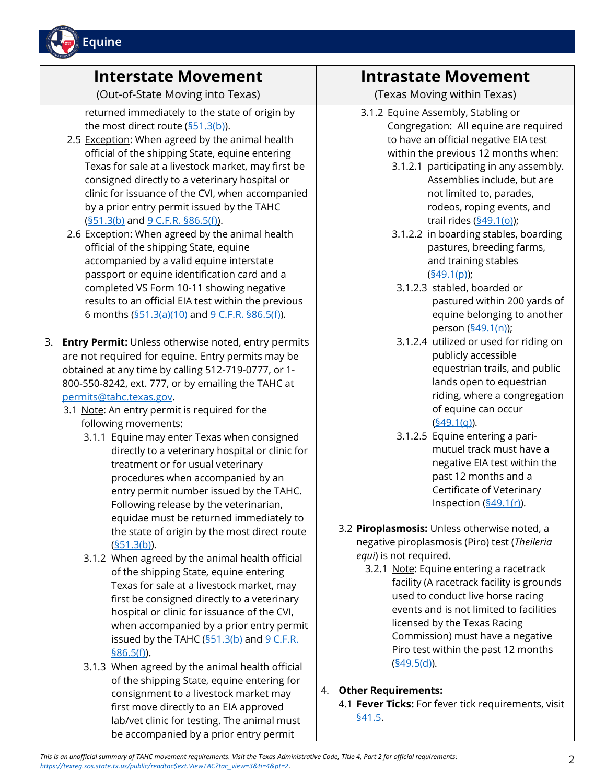

### **Interstate Movement**

(Out-of-State Moving into Texas)

returned immediately to the state of origin by the most direct route [\(§51.3\(b\)\)](https://texreg.sos.state.tx.us/public/readtac$ext.TacPage?sl=R&app=9&p_dir=&p_rloc=&p_tloc=&p_ploc=&pg=1&p_tac=&ti=4&pt=2&ch=51&rl=3).

- 2.5 Exception: When agreed by the animal health official of the shipping State, equine entering Texas for sale at a livestock market, may first be consigned directly to a veterinary hospital or clinic for issuance of the CVI, when accompanied by a prior entry permit issued by the TAHC  $(§51.3(b)$  and  $§$  C.F.R. §86.5(f)).
- 2.6 Exception: When agreed by the animal health official of the shipping State, equine accompanied by a valid equine interstate passport or equine identification card and a completed VS Form 10-11 showing negative results to an official EIA test within the previous 6 months  $(\frac{551.3(a)(10)}{9}$  and  $\frac{9}{9}$  C.F.R.  $\frac{586.5(f)}{9}$ .
- 3. **Entry Permit:** Unless otherwise noted, entry permits are not required for equine. Entry permits may be obtained at any time by calling 512-719-0777, or 1- 800-550-8242, ext. 777, or by emailing the TAHC at [permits@tahc.texas.gov.](mailto:permits@tahc.texas.gov)
	- 3.1 Note: An entry permit is required for the following movements:
		- 3.1.1 Equine may enter Texas when consigned directly to a veterinary hospital or clinic for treatment or for usual veterinary procedures when accompanied by an entry permit number issued by the TAHC. Following release by the veterinarian, equidae must be returned immediately to the state of origin by the most direct route [\(§51.3\(b\)\)](https://texreg.sos.state.tx.us/public/readtac$ext.TacPage?sl=R&app=9&p_dir=&p_rloc=&p_tloc=&p_ploc=&pg=1&p_tac=&ti=4&pt=2&ch=51&rl=3).
		- 3.1.2 When agreed by the animal health official of the shipping State, equine entering Texas for sale at a livestock market, may first be consigned directly to a veterinary hospital or clinic for issuance of the CVI, when accompanied by a prior entry permit issued by the TAHC  $(§51.3(b)$  and  $§$  C.F.R.  $§86.5(f)$ ).
		- 3.1.3 When agreed by the animal health official of the shipping State, equine entering for consignment to a livestock market may first move directly to an EIA approved lab/vet clinic for testing. The animal must be accompanied by a prior entry permit

## **Intrastate Movement**

(Texas Moving within Texas)

- 3.1.2 Equine Assembly, Stabling or Congregation: All equine are required to have an official negative EIA test within the previous 12 months when:
	- 3.1.2.1 participating in any assembly. Assemblies include, but are not limited to, parades, rodeos, roping events, and trail rides [\(§49.1\(o\)\)](https://texreg.sos.state.tx.us/public/readtac$ext.TacPage?sl=R&app=9&p_dir=&p_rloc=&p_tloc=&p_ploc=&pg=1&p_tac=&ti=4&pt=2&ch=49&rl=1);
	- 3.1.2.2 in boarding stables, boarding pastures, breeding farms, and training stables  $(§49.1(p))$ ;
	- 3.1.2.3 stabled, boarded or pastured within 200 yards of equine belonging to another person [\(§49.1\(n\)\)](https://texreg.sos.state.tx.us/public/readtac$ext.TacPage?sl=R&app=9&p_dir=&p_rloc=&p_tloc=&p_ploc=&pg=1&p_tac=&ti=4&pt=2&ch=49&rl=1);
	- 3.1.2.4 utilized or used for riding on publicly accessible equestrian trails, and public lands open to equestrian riding, where a congregation of equine can occur [\(§49.1\(q\)\)](https://texreg.sos.state.tx.us/public/readtac$ext.TacPage?sl=R&app=9&p_dir=&p_rloc=&p_tloc=&p_ploc=&pg=1&p_tac=&ti=4&pt=2&ch=49&rl=1).
	- 3.1.2.5 Equine entering a parimutuel track must have a negative EIA test within the past 12 months and a Certificate of Veterinary Inspection  $(\underline{§}49.1(r))$ .
- 3.2 **Piroplasmosis:** Unless otherwise noted, a negative piroplasmosis (Piro) test (*Theileria equi*) is not required.
	- 3.2.1 Note: Equine entering a racetrack facility (A racetrack facility is grounds used to conduct live horse racing events and is not limited to facilities licensed by the Texas Racing Commission) must have a negative Piro test within the past 12 months [\(§49.5\(d\)\)](https://texreg.sos.state.tx.us/public/readtac$ext.TacPage?sl=R&app=9&p_dir=&p_rloc=&p_tloc=&p_ploc=&pg=1&p_tac=&ti=4&pt=2&ch=49&rl=5).

#### 4. **Other Requirements:**

4.1 **Fever Ticks:** For fever tick requirements, visit [§41.5.](https://texreg.sos.state.tx.us/public/readtac$ext.TacPage?sl=R&app=9&p_dir=&p_rloc=&p_tloc=&p_ploc=&pg=1&p_tac=&ti=4&pt=2&ch=41&rl=5)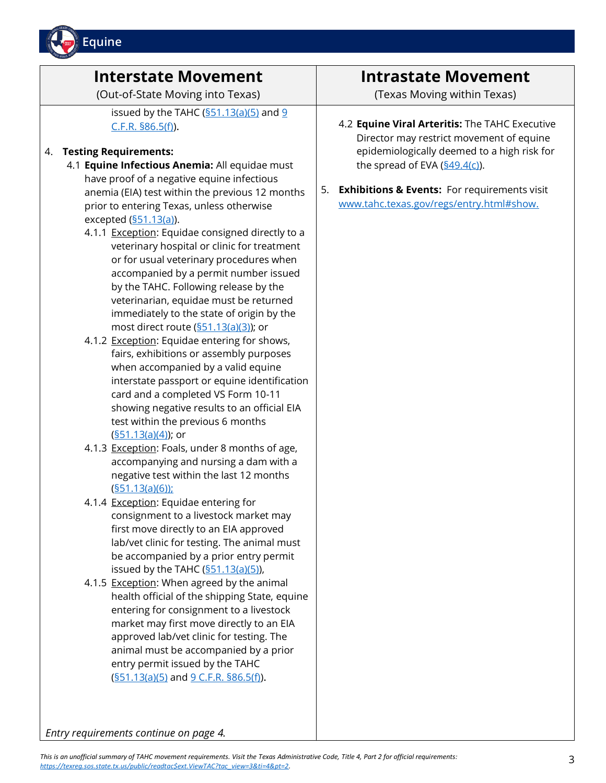

## **Interstate Movement**

(Out-of-State Moving into Texas)

issued by the TAHC  $(§51.13(a)(5)$  and  $§$ [C.F.R. §86.5\(f\)\)](https://www.ecfr.gov/current/title-9/chapter-I/subchapter-C/part-86/section-86.5).

#### 4. **Testing Requirements:**

- 4.1 **Equine Infectious Anemia:** All equidae must have proof of a negative equine infectious anemia (EIA) test within the previous 12 months prior to entering Texas, unless otherwise excepted  $(§51.13(a))$ .
	- 4.1.1 Exception: Equidae consigned directly to a veterinary hospital or clinic for treatment or for usual veterinary procedures when accompanied by a permit number issued by the TAHC. Following release by the veterinarian, equidae must be returned immediately to the state of origin by the most direct route [\(§51.13\(a\)\(3\)\)](https://texreg.sos.state.tx.us/public/readtac$ext.TacPage?sl=T&app=9&p_dir=P&p_rloc=171501&p_tloc=&p_ploc=1&pg=25&p_tac=&ti=4&pt=2&ch=51&rl=13); or
	- 4.1.2 Exception: Equidae entering for shows, fairs, exhibitions or assembly purposes when accompanied by a valid equine interstate passport or equine identification card and a completed VS Form 10-11 showing negative results to an official EIA test within the previous 6 months [\(§51.13\(a\)\(4\)\)](https://texreg.sos.state.tx.us/public/readtac$ext.TacPage?sl=T&app=9&p_dir=P&p_rloc=171501&p_tloc=&p_ploc=1&pg=25&p_tac=&ti=4&pt=2&ch=51&rl=13); or
	- 4.1.3 Exception: Foals, under 8 months of age, accompanying and nursing a dam with a negative test within the last 12 months [\(§51.13\(a\)\(6\)\)](https://texreg.sos.state.tx.us/public/readtac$ext.TacPage?sl=T&app=9&p_dir=P&p_rloc=171501&p_tloc=&p_ploc=1&pg=25&p_tac=&ti=4&pt=2&ch=51&rl=13);
	- 4.1.4 Exception: Equidae entering for consignment to a livestock market may first move directly to an EIA approved lab/vet clinic for testing. The animal must be accompanied by a prior entry permit issued by the TAHC  $(\underline{\$51.13(a)(5)})$ ,
	- 4.1.5 Exception: When agreed by the animal health official of the shipping State, equine entering for consignment to a livestock market may first move directly to an EIA approved lab/vet clinic for testing. The animal must be accompanied by a prior entry permit issued by the TAHC  $(§51.13(a)(5)$  and  $§$  C.F.R. §86.5(f)).

#### **Intrastate Movement**

(Texas Moving within Texas)

#### 4.2 **Equine Viral Arteritis:** The TAHC Executive Director may restrict movement of equine epidemiologically deemed to a high risk for the spread of EVA  $(§49.4(c))$ .

5. **Exhibitions & Events:** For requirements visit [www.tahc.texas.gov/regs/entry.html#show.](https://www.tahc.texas.gov/regs/entry.html#show)

*Entry requirements continue on page 4.*